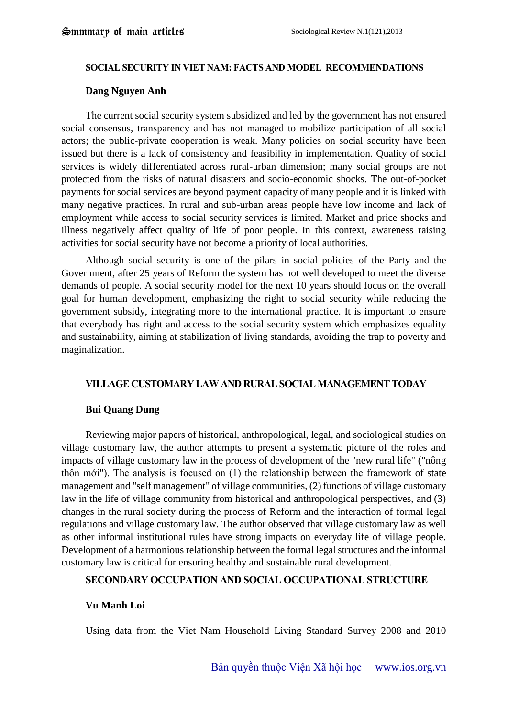## **SOCIAL SECURITY IN VIET NAM: FACTS AND MODEL RECOMMENDATIONS**

## **Dang Nguyen Anh**

The current social security system subsidized and led by the government has not ensured social consensus, transparency and has not managed to mobilize participation of all social actors; the public-private cooperation is weak. Many policies on social security have been issued but there is a lack of consistency and feasibility in implementation. Quality of social services is widely differentiated across rural-urban dimension; many social groups are not protected from the risks of natural disasters and socio-economic shocks. The out-of-pocket payments for social services are beyond payment capacity of many people and it is linked with many negative practices. In rural and sub-urban areas people have low income and lack of employment while access to social security services is limited. Market and price shocks and illness negatively affect quality of life of poor people. In this context, awareness raising activities for social security have not become a priority of local authorities.

Although social security is one of the pilars in social policies of the Party and the Government, after 25 years of Reform the system has not well developed to meet the diverse demands of people. A social security model for the next 10 years should focus on the overall goal for human development, emphasizing the right to social security while reducing the government subsidy, integrating more to the international practice. It is important to ensure that everybody has right and access to the social security system which emphasizes equality and sustainability, aiming at stabilization of living standards, avoiding the trap to poverty and maginalization.

## **VILLAGE CUSTOMARY LAW AND RURAL SOCIAL MANAGEMENT TODAY**

## **Bui Quang Dung**

Reviewing major papers of historical, anthropological, legal, and sociological studies on village customary law, the author attempts to present a systematic picture of the roles and impacts of village customary law in the process of development of the "new rural life" ("nông thôn mới"). The analysis is focused on (1) the relationship between the framework of state management and "self management" of village communities, (2) functions of village customary law in the life of village community from historical and anthropological perspectives, and (3) changes in the rural society during the process of Reform and the interaction of formal legal regulations and village customary law. The author observed that village customary law as well as other informal institutional rules have strong impacts on everyday life of village people. Development of a harmonious relationship between the formal legal structures and the informal customary law is critical for ensuring healthy and sustainable rural development.

# **SECONDARY OCCUPATION AND SOCIAL OCCUPATIONAL STRUCTURE**

## **Vu Manh Loi**

Using data from the Viet Nam Household Living Standard Survey 2008 and 2010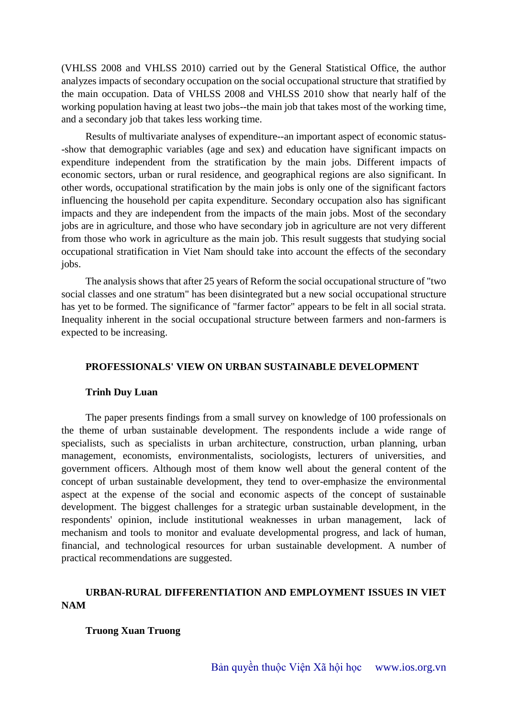(VHLSS 2008 and VHLSS 2010) carried out by the General Statistical Office, the author analyzes impacts of secondary occupation on the social occupational structure that stratified by the main occupation. Data of VHLSS 2008 and VHLSS 2010 show that nearly half of the working population having at least two jobs--the main job that takes most of the working time, and a secondary job that takes less working time.

Results of multivariate analyses of expenditure--an important aspect of economic status- -show that demographic variables (age and sex) and education have significant impacts on expenditure independent from the stratification by the main jobs. Different impacts of economic sectors, urban or rural residence, and geographical regions are also significant. In other words, occupational stratification by the main jobs is only one of the significant factors influencing the household per capita expenditure. Secondary occupation also has significant impacts and they are independent from the impacts of the main jobs. Most of the secondary jobs are in agriculture, and those who have secondary job in agriculture are not very different from those who work in agriculture as the main job. This result suggests that studying social occupational stratification in Viet Nam should take into account the effects of the secondary jobs.

The analysis shows that after 25 years of Reform the social occupational structure of "two social classes and one stratum" has been disintegrated but a new social occupational structure has yet to be formed. The significance of "farmer factor" appears to be felt in all social strata. Inequality inherent in the social occupational structure between farmers and non-farmers is expected to be increasing.

### **PROFESSIONALS' VIEW ON URBAN SUSTAINABLE DEVELOPMENT**

#### **Trinh Duy Luan**

The paper presents findings from a small survey on knowledge of 100 professionals on the theme of urban sustainable development. The respondents include a wide range of specialists, such as specialists in urban architecture, construction, urban planning, urban management, economists, environmentalists, sociologists, lecturers of universities, and government officers. Although most of them know well about the general content of the concept of urban sustainable development, they tend to over-emphasize the environmental aspect at the expense of the social and economic aspects of the concept of sustainable development. The biggest challenges for a strategic urban sustainable development, in the respondents' opinion, include institutional weaknesses in urban management, lack of mechanism and tools to monitor and evaluate developmental progress, and lack of human, financial, and technological resources for urban sustainable development. A number of practical recommendations are suggested.

# **URBAN-RURAL DIFFERENTIATION AND EMPLOYMENT ISSUES IN VIET NAM**

#### **Truong Xuan Truong**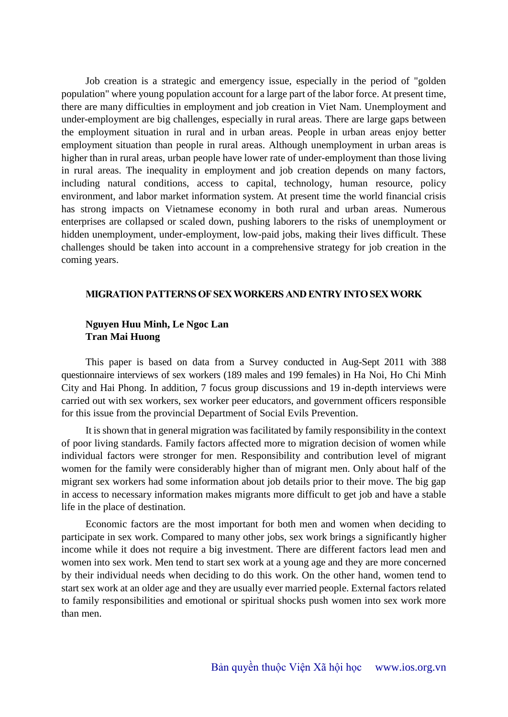Job creation is a strategic and emergency issue, especially in the period of "golden population" where young population account for a large part of the labor force. At present time, there are many difficulties in employment and job creation in Viet Nam. Unemployment and under-employment are big challenges, especially in rural areas. There are large gaps between the employment situation in rural and in urban areas. People in urban areas enjoy better employment situation than people in rural areas. Although unemployment in urban areas is higher than in rural areas, urban people have lower rate of under-employment than those living in rural areas. The inequality in employment and job creation depends on many factors, including natural conditions, access to capital, technology, human resource, policy environment, and labor market information system. At present time the world financial crisis has strong impacts on Vietnamese economy in both rural and urban areas. Numerous enterprises are collapsed or scaled down, pushing laborers to the risks of unemployment or hidden unemployment, under-employment, low-paid jobs, making their lives difficult. These challenges should be taken into account in a comprehensive strategy for job creation in the coming years.

### **MIGRATION PATTERNS OF SEX WORKERS AND ENTRY INTO SEX WORK**

# **Nguyen Huu Minh, Le Ngoc Lan Tran Mai Huong**

This paper is based on data from a Survey conducted in Aug-Sept 2011 with 388 questionnaire interviews of sex workers (189 males and 199 females) in Ha Noi, Ho Chi Minh City and Hai Phong. In addition, 7 focus group discussions and 19 in-depth interviews were carried out with sex workers, sex worker peer educators, and government officers responsible for this issue from the provincial Department of Social Evils Prevention.

It is shown that in general migration was facilitated by family responsibility in the context of poor living standards. Family factors affected more to migration decision of women while individual factors were stronger for men. Responsibility and contribution level of migrant women for the family were considerably higher than of migrant men. Only about half of the migrant sex workers had some information about job details prior to their move. The big gap in access to necessary information makes migrants more difficult to get job and have a stable life in the place of destination.

Economic factors are the most important for both men and women when deciding to participate in sex work. Compared to many other jobs, sex work brings a significantly higher income while it does not require a big investment. There are different factors lead men and women into sex work. Men tend to start sex work at a young age and they are more concerned by their individual needs when deciding to do this work. On the other hand, women tend to start sex work at an older age and they are usually ever married people. External factors related to family responsibilities and emotional or spiritual shocks push women into sex work more than men.